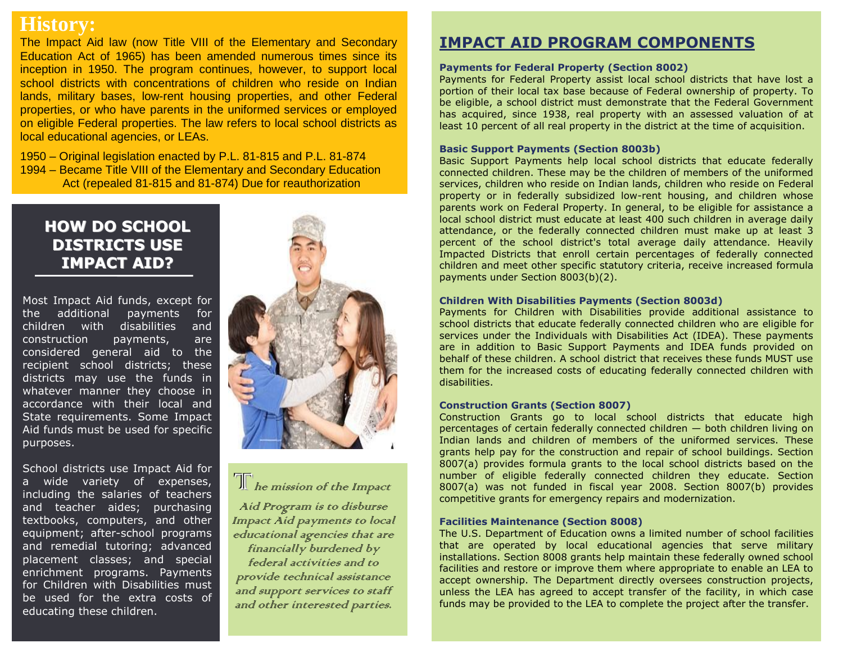## **History:**

The Impact Aid law (now Title VIII of the Elementary and Secondary Education Act of 1965) has been amended numerous times since its inception in 1950. The program continues, however, to support local school districts with concentrations of children who reside on Indian lands, military bases, low-rent housing properties, and other Federal properties, or who have parents in the uniformed services or employed on eligible Federal properties. The law refers to local school districts as local educational agencies, or LEAs.

1950 – Original legislation enacted by P.L. 81-815 and P.L. 81-874 1994 – Became Title VIII of the Elementary and Secondary Education Act (repealed 81-815 and 81-874) Due for reauthorization

### **HOW DO SCHOOL DISTRICTS USE IMPACT AID?**

Most Impact Aid funds, except for the additional payments for children with disabilities and construction payments, are considered general aid to the recipient school districts; these districts may use the funds in whatever manner they choose in accordance with their local and State requirements. Some Impact Aid funds must be used for specific purposes.

School districts use Impact Aid for a wide variety of expenses, including the salaries of teachers and teacher aides; purchasing textbooks, computers, and other equipment; after-school programs and remedial tutoring; advanced placement classes; and special enrichment programs. Payments for Children with Disabilities must be used for the extra costs of educating these children.



 $\overline{\text{Tr}}$  he mission of the Impact

Aid Program is to disburse Impact Aid payments to local educational agencies that are financially burdened by federal activities and to provide technical assistance and support services to staff and other interested parties.

## **IMPACT AID PROGRAM COMPONENTS**

#### **Payments for Federal Property (Section 8002)**

Payments for Federal Property assist local school districts that have lost a portion of their local tax base because of Federal ownership of property. To be eligible, a school district must demonstrate that the Federal Government has acquired, since 1938, real property with an assessed valuation of at least 10 percent of all real property in the district at the time of acquisition.

#### **Basic Support Payments (Section 8003b)**

Basic Support Payments help local school districts that educate federally connected children. These may be the children of members of the uniformed services, children who reside on Indian lands, children who reside on Federal property or in federally subsidized low-rent housing, and children whose parents work on Federal Property. In general, to be eligible for assistance a local school district must educate at least 400 such children in average daily attendance, or the federally connected children must make up at least 3 percent of the school district's total average daily attendance. Heavily Impacted Districts that enroll certain percentages of federally connected children and meet other specific statutory criteria, receive increased formula payments under Section 8003(b)(2).

#### **Children With Disabilities Payments (Section 8003d)**

Payments for Children with Disabilities provide additional assistance to school districts that educate federally connected children who are eligible for services under the Individuals with Disabilities Act (IDEA). These payments are in addition to Basic Support Payments and IDEA funds provided on behalf of these children. A school district that receives these funds MUST use them for the increased costs of educating federally connected children with disabilities.

#### **Construction Grants (Section 8007)**

Construction Grants go to local school districts that educate high percentages of certain federally connected children — both children living on Indian lands and children of members of the uniformed services. These grants help pay for the construction and repair of school buildings. Section 8007(a) provides formula grants to the local school districts based on the number of eligible federally connected children they educate. Section 8007(a) was not funded in fiscal year 2008. Section 8007(b) provides competitive grants for emergency repairs and modernization.

#### **Facilities Maintenance (Section 8008)**

The U.S. Department of Education owns a limited number of school facilities that are operated by local educational agencies that serve military installations. Section 8008 grants help maintain these federally owned school facilities and restore or improve them where appropriate to enable an LEA to accept ownership. The Department directly oversees construction projects, unless the LEA has agreed to accept transfer of the facility, in which case funds may be provided to the LEA to complete the project after the transfer.